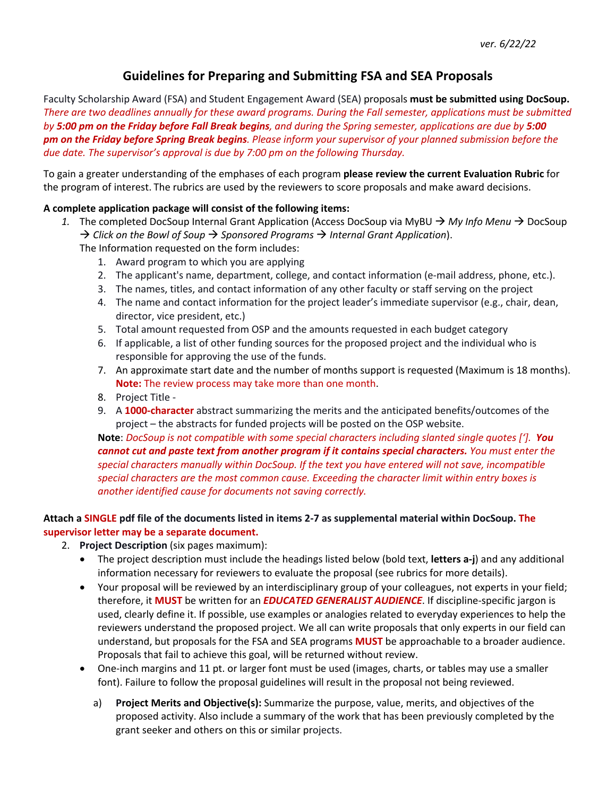# **Guidelines for Preparing and Submitting FSA and SEA Proposals**

Faculty Scholarship Award (FSA) and Student Engagement Award (SEA) proposals **must be submitted using DocSoup.** *There are two deadlines annually for these award programs. During the Fall semester, applications must be submitted by 5:00 pm on the Friday before Fall Break begins, and during the Spring semester, applications are due by 5:00 pm on the Friday before Spring Break begins. Please inform your supervisor of your planned submission before the due date. The supervisor's approval is due by 7:00 pm on the following Thursday.*

To gain a greater understanding of the emphases of each program **please review the current Evaluation Rubric** for the program of interest. The rubrics are used by the reviewers to score proposals and make award decisions.

## **A complete application package will consist of the following items:**

- 1. The completed DocSoup Internal Grant Application (Access DocSoup via MyBU  $\rightarrow$  *My Info Menu*  $\rightarrow$  DocSoup → Click on the Bowl of Soup → Sponsored Programs → Internal Grant Application). The Information requested on the form includes:
	- 1. Award program to which you are applying
	- 2. The applicant's name, department, college, and contact information (e-mail address, phone, etc.).
	- 3. The names, titles, and contact information of any other faculty or staff serving on the project
	- 4. The name and contact information for the project leader's immediate supervisor (e.g., chair, dean, director, vice president, etc.)
	- 5. Total amount requested from OSP and the amounts requested in each budget category
	- 6. If applicable, a list of other funding sources for the proposed project and the individual who is responsible for approving the use of the funds.
	- 7. An approximate start date and the number of months support is requested (Maximum is 18 months). **Note:** The review process may take more than one month.
	- 8. Project Title -
	- 9. A **1000-character** abstract summarizing the merits and the anticipated benefits/outcomes of the project – the abstracts for funded projects will be posted on the OSP website.

**Note**: *DocSoup is not compatible with some special characters including slanted single quotes [']. You cannot cut and paste text from another program if it contains special characters. You must enter the special characters manually within DocSoup. If the text you have entered will not save, incompatible special characters are the most common cause. Exceeding the character limit within entry boxes is another identified cause for documents not saving correctly.* 

## **Attach a SINGLE pdf file of the documents listed in items 2-7 as supplemental material within DocSoup. The supervisor letter may be a separate document.**

- 2. **Project Description** (six pages maximum):
	- The project description must include the headings listed below (bold text, **letters a-j**) and any additional information necessary for reviewers to evaluate the proposal (see rubrics for more details).
	- Your proposal will be reviewed by an interdisciplinary group of your colleagues, not experts in your field; therefore, it **MUST** be written for an *EDUCATED GENERALIST AUDIENCE*. If discipline-specific jargon is used, clearly define it. If possible, use examples or analogies related to everyday experiences to help the reviewers understand the proposed project. We all can write proposals that only experts in our field can understand, but proposals for the FSA and SEA programs **MUST** be approachable to a broader audience. Proposals that fail to achieve this goal, will be returned without review.
	- One-inch margins and 11 pt. or larger font must be used (images, charts, or tables may use a smaller font). Failure to follow the proposal guidelines will result in the proposal not being reviewed.
		- a) **Project Merits and Objective(s):** Summarize the purpose, value, merits, and objectives of the proposed activity. Also include a summary of the work that has been previously completed by the grant seeker and others on this or similar projects.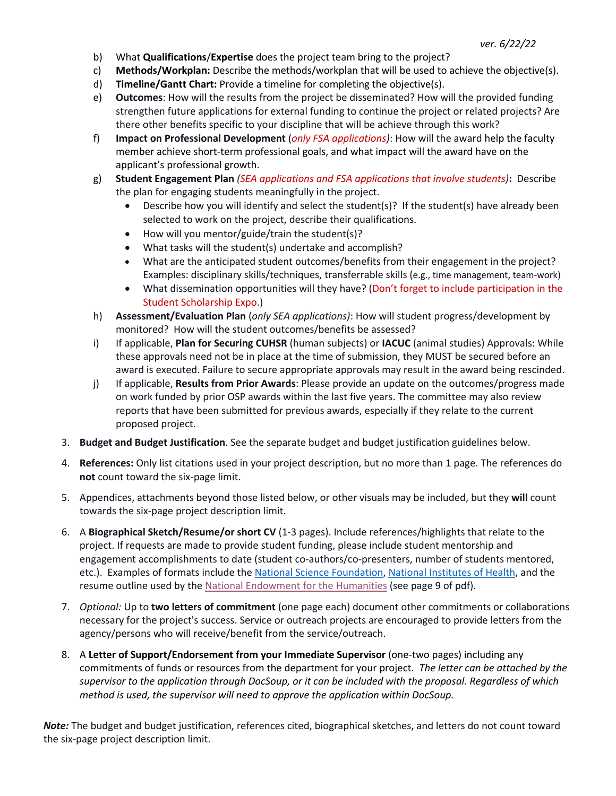- b) What **Qualifications**/**Expertise** does the project team bring to the project?
- c) **Methods/Workplan:** Describe the methods/workplan that will be used to achieve the objective(s).
- d) **Timeline/Gantt Chart:** Provide a timeline for completing the objective(s).
- e) **Outcomes**: How will the results from the project be disseminated? How will the provided funding strengthen future applications for external funding to continue the project or related projects? Are there other benefits specific to your discipline that will be achieve through this work?
- f) **Impact on Professional Development** (*only FSA applications)*: How will the award help the faculty member achieve short-term professional goals, and what impact will the award have on the applicant's professional growth.
- g) **Student Engagement Plan** *(SEA applications and FSA applications that involve students)***:** Describe the plan for engaging students meaningfully in the project.
	- Describe how you will identify and select the student(s)? If the student(s) have already been selected to work on the project, describe their qualifications.
	- How will you mentor/guide/train the student(s)?
	- What tasks will the student(s) undertake and accomplish?
	- What are the anticipated student outcomes/benefits from their engagement in the project? Examples: disciplinary skills/techniques, transferrable skills (e.g., time management, team-work)
	- What dissemination opportunities will they have? (Don't forget to include participation in the Student Scholarship Expo.)
- h) **Assessment/Evaluation Plan** (*only SEA applications)*: How will student progress/development by monitored? How will the student outcomes/benefits be assessed?
- i) If applicable, **Plan for Securing CUHSR** (human subjects) or **IACUC** (animal studies) Approvals: While these approvals need not be in place at the time of submission, they MUST be secured before an award is executed. Failure to secure appropriate approvals may result in the award being rescinded.
- j) If applicable, **Results from Prior Awards**: Please provide an update on the outcomes/progress made on work funded by prior OSP awards within the last five years. The committee may also review reports that have been submitted for previous awards, especially if they relate to the current proposed project.
- 3. **Budget and Budget Justification**. See the separate budget and budget justification guidelines below.
- 4. **References:** Only list citations used in your project description, but no more than 1 page. The references do **not** count toward the six-page limit.
- 5. Appendices, attachments beyond those listed below, or other visuals may be included, but they **will** count towards the six-page project description limit.
- 6. A **Biographical Sketch/Resume/or short CV** (1-3 pages). Include references/highlights that relate to the project. If requests are made to provide student funding, please include student mentorship and engagement accomplishments to date (student co-authors/co-presenters, number of students mentored, etc.). Examples of formats include the National Science Foundation, National Institutes of Health, and the resume outline used by the National Endowment for the Humanities (see page 9 of pdf).
- 7. *Optional:* Up to **two letters of commitment** (one page each) document other commitments or collaborations necessary for the project's success. Service or outreach projects are encouraged to provide letters from the agency/persons who will receive/benefit from the service/outreach.
- 8. A **Letter of Support/Endorsement from your Immediate Supervisor** (one-two pages) including any commitments of funds or resources from the department for your project. *The letter can be attached by the supervisor to the application through DocSoup, or it can be included with the proposal. Regardless of which method is used, the supervisor will need to approve the application within DocSoup.*

*Note:* The budget and budget justification, references cited, biographical sketches, and letters do not count toward the six-page project description limit.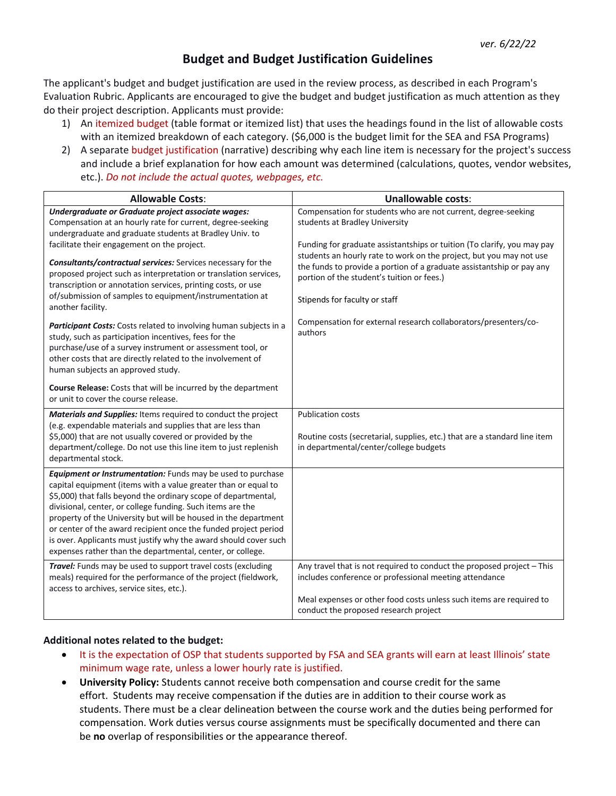# **Budget and Budget Justification Guidelines**

The applicant's budget and budget justification are used in the review process, as described in each Program's Evaluation Rubric. Applicants are encouraged to give the budget and budget justification as much attention as they do their project description. Applicants must provide:

- 1) An itemized budget (table format or itemized list) that uses the headings found in the list of allowable costs with an itemized breakdown of each category. (\$6,000 is the budget limit for the SEA and FSA Programs)
- 2) A separate budget justification (narrative) describing why each line item is necessary for the project's success and include a brief explanation for how each amount was determined (calculations, quotes, vendor websites, etc.). *Do not include the actual quotes, webpages, etc.*

| <b>Allowable Costs:</b>                                                                                                                                                                                                                                                                                                                                                                                                                                                                                                               | <b>Unallowable costs:</b>                                                                                                                                                                                                                                                                              |
|---------------------------------------------------------------------------------------------------------------------------------------------------------------------------------------------------------------------------------------------------------------------------------------------------------------------------------------------------------------------------------------------------------------------------------------------------------------------------------------------------------------------------------------|--------------------------------------------------------------------------------------------------------------------------------------------------------------------------------------------------------------------------------------------------------------------------------------------------------|
| Undergraduate or Graduate project associate wages:<br>Compensation at an hourly rate for current, degree-seeking<br>undergraduate and graduate students at Bradley Univ. to                                                                                                                                                                                                                                                                                                                                                           | Compensation for students who are not current, degree-seeking<br>students at Bradley University                                                                                                                                                                                                        |
| facilitate their engagement on the project.<br>Consultants/contractual services: Services necessary for the<br>proposed project such as interpretation or translation services,<br>transcription or annotation services, printing costs, or use<br>of/submission of samples to equipment/instrumentation at<br>another facility.                                                                                                                                                                                                      | Funding for graduate assistantships or tuition (To clarify, you may pay<br>students an hourly rate to work on the project, but you may not use<br>the funds to provide a portion of a graduate assistantship or pay any<br>portion of the student's tuition or fees.)<br>Stipends for faculty or staff |
| Participant Costs: Costs related to involving human subjects in a<br>study, such as participation incentives, fees for the<br>purchase/use of a survey instrument or assessment tool, or<br>other costs that are directly related to the involvement of<br>human subjects an approved study.                                                                                                                                                                                                                                          | Compensation for external research collaborators/presenters/co-<br>authors                                                                                                                                                                                                                             |
| <b>Course Release:</b> Costs that will be incurred by the department<br>or unit to cover the course release.                                                                                                                                                                                                                                                                                                                                                                                                                          |                                                                                                                                                                                                                                                                                                        |
| Materials and Supplies: Items required to conduct the project<br>(e.g. expendable materials and supplies that are less than<br>\$5,000) that are not usually covered or provided by the<br>department/college. Do not use this line item to just replenish<br>departmental stock.                                                                                                                                                                                                                                                     | <b>Publication costs</b><br>Routine costs (secretarial, supplies, etc.) that are a standard line item<br>in departmental/center/college budgets                                                                                                                                                        |
| Equipment or Instrumentation: Funds may be used to purchase<br>capital equipment (items with a value greater than or equal to<br>\$5,000) that falls beyond the ordinary scope of departmental,<br>divisional, center, or college funding. Such items are the<br>property of the University but will be housed in the department<br>or center of the award recipient once the funded project period<br>is over. Applicants must justify why the award should cover such<br>expenses rather than the departmental, center, or college. |                                                                                                                                                                                                                                                                                                        |
| Travel: Funds may be used to support travel costs (excluding<br>meals) required for the performance of the project (fieldwork,<br>access to archives, service sites, etc.).                                                                                                                                                                                                                                                                                                                                                           | Any travel that is not required to conduct the proposed project - This<br>includes conference or professional meeting attendance<br>Meal expenses or other food costs unless such items are required to<br>conduct the proposed research project                                                       |

#### **Additional notes related to the budget:**

- It is the expectation of OSP that students supported by FSA and SEA grants will earn at least Illinois' state minimum wage rate, unless a lower hourly rate is justified.
- **University Policy:** Students cannot receive both compensation and course credit for the same effort. Students may receive compensation if the duties are in addition to their course work as students. There must be a clear delineation between the course work and the duties being performed for compensation. Work duties versus course assignments must be specifically documented and there can be **no** overlap of responsibilities or the appearance thereof.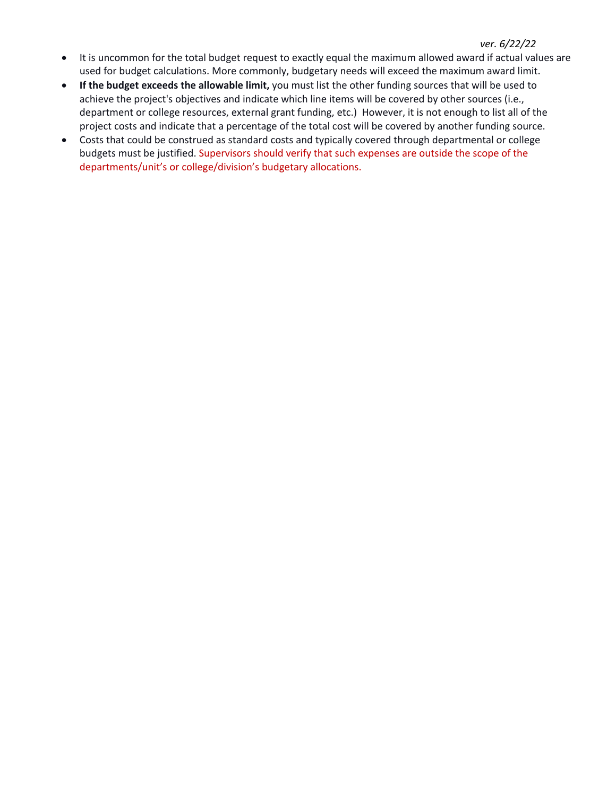### *ver. 6/22/22*

- It is uncommon for the total budget request to exactly equal the maximum allowed award if actual values are used for budget calculations. More commonly, budgetary needs will exceed the maximum award limit.
- **If the budget exceeds the allowable limit,** you must list the other funding sources that will be used to achieve the project's objectives and indicate which line items will be covered by other sources (i.e., department or college resources, external grant funding, etc.) However, it is not enough to list all of the project costs and indicate that a percentage of the total cost will be covered by another funding source.
- Costs that could be construed as standard costs and typically covered through departmental or college budgets must be justified. Supervisors should verify that such expenses are outside the scope of the departments/unit's or college/division's budgetary allocations.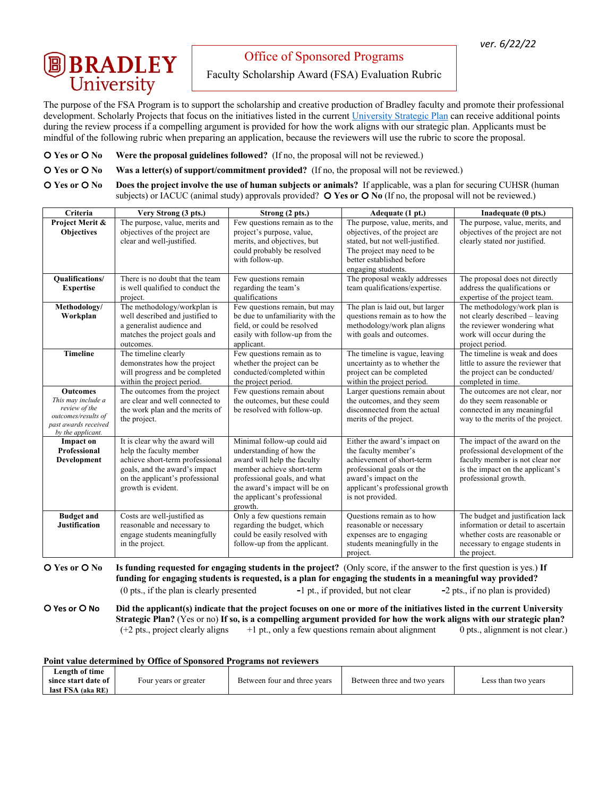# **B** BRADLEY

Office of Sponsored Programs

Faculty Scholarship Award (FSA) Evaluation Rubric

The purpose of the FSA Program is to support the scholarship and creative production of Bradley faculty and promote their professional development. Scholarly Projects that focus on the initiatives listed in the current University Strategic Plan can receive additional points during the review process if a compelling argument is provided for how the work aligns with our strategic plan. Applicants must be mindful of the following rubric when preparing an application, because the reviewers will use the rubric to score the proposal.

**O Yes or O No** Were the proposal guidelines followed? (If no, the proposal will not be reviewed.)

**O Yes or O No** Was a letter(s) of support/commitment provided? (If no, the proposal will not be reviewed.)

 $\overline{O}$  **Yes or**  $\overline{O}$  **No** Does the project involve the use of human subjects or animals? If applicable, was a plan for securing CUHSR (human subjects) or IACUC (animal study) approvals provided? O Yes or O No (If no, the proposal will not be reviewed.)

| <b>Criteria</b>                                                                                                            | Very Strong (3 pts.)                                                                                                                                                                   | Strong (2 pts.)                                                                                                                                                                                                                 | Adequate (1 pt.)                                                                                                                                                                               | Inadequate (0 pts.)                                                                                                                                              |
|----------------------------------------------------------------------------------------------------------------------------|----------------------------------------------------------------------------------------------------------------------------------------------------------------------------------------|---------------------------------------------------------------------------------------------------------------------------------------------------------------------------------------------------------------------------------|------------------------------------------------------------------------------------------------------------------------------------------------------------------------------------------------|------------------------------------------------------------------------------------------------------------------------------------------------------------------|
| Project Merit &<br><b>Objectives</b>                                                                                       | The purpose, value, merits and<br>objectives of the project are<br>clear and well-justified.                                                                                           | Few questions remain as to the<br>project's purpose, value,<br>merits, and objectives, but<br>could probably be resolved<br>with follow-up.                                                                                     | The purpose, value, merits, and<br>objectives, of the project are<br>stated, but not well-justified.<br>The project may need to be<br>better established before<br>engaging students.          | The purpose, value, merits, and<br>objectives of the project are not<br>clearly stated nor justified.                                                            |
| <b>Oualifications/</b><br><b>Expertise</b>                                                                                 | There is no doubt that the team<br>is well qualified to conduct the<br>project.                                                                                                        | Few questions remain<br>regarding the team's<br>qualifications                                                                                                                                                                  | The proposal weakly addresses<br>team qualifications/expertise.                                                                                                                                | The proposal does not directly<br>address the qualifications or<br>expertise of the project team.                                                                |
| Methodology/<br>Workplan                                                                                                   | The methodology/workplan is<br>well described and justified to<br>a generalist audience and<br>matches the project goals and<br>outcomes.                                              | Few questions remain, but may<br>be due to unfamiliarity with the<br>field, or could be resolved<br>easily with follow-up from the<br>applicant.                                                                                | The plan is laid out, but larger<br>questions remain as to how the<br>methodology/work plan aligns<br>with goals and outcomes.                                                                 | The methodology/work plan is<br>not clearly described – leaving<br>the reviewer wondering what<br>work will occur during the<br>project period.                  |
| <b>Timeline</b>                                                                                                            | The timeline clearly<br>demonstrates how the project<br>will progress and be completed<br>within the project period.                                                                   | Few questions remain as to<br>whether the project can be<br>conducted/completed within<br>the project period.                                                                                                                   | The timeline is vague, leaving<br>uncertainty as to whether the<br>project can be completed<br>within the project period.                                                                      | The timeline is weak and does<br>little to assure the reviewer that<br>the project can be conducted/<br>completed in time.                                       |
| <b>Outcomes</b><br>This may include a<br>review of the<br>outcomes/results of<br>past awards received<br>by the applicant. | The outcomes from the project<br>are clear and well connected to<br>the work plan and the merits of<br>the project.                                                                    | Few questions remain about<br>the outcomes, but these could<br>be resolved with follow-up.                                                                                                                                      | Larger questions remain about<br>the outcomes, and they seem<br>disconnected from the actual<br>merits of the project.                                                                         | The outcomes are not clear, nor<br>do they seem reasonable or<br>connected in any meaningful<br>way to the merits of the project.                                |
| <b>Impact on</b><br>Professional<br>Development                                                                            | It is clear why the award will<br>help the faculty member<br>achieve short-term professional<br>goals, and the award's impact<br>on the applicant's professional<br>growth is evident. | Minimal follow-up could aid<br>understanding of how the<br>award will help the faculty<br>member achieve short-term<br>professional goals, and what<br>the award's impact will be on<br>the applicant's professional<br>growth. | Either the award's impact on<br>the faculty member's<br>achievement of short-term<br>professional goals or the<br>award's impact on the<br>applicant's professional growth<br>is not provided. | The impact of the award on the<br>professional development of the<br>faculty member is not clear nor<br>is the impact on the applicant's<br>professional growth. |
| <b>Budget and</b><br><b>Justification</b>                                                                                  | Costs are well-justified as<br>reasonable and necessary to<br>engage students meaningfully<br>in the project.                                                                          | Only a few questions remain<br>regarding the budget, which<br>could be easily resolved with<br>follow-up from the applicant.                                                                                                    | Questions remain as to how<br>reasonable or necessary<br>expenses are to engaging<br>students meaningfully in the<br>project.                                                                  | The budget and justification lack<br>information or detail to ascertain<br>whether costs are reasonable or<br>necessary to engage students in<br>the project.    |

**Q** Yes or  $\bigcirc$  No Is funding requested for engaging students in the project? (Only score, if the answer to the first question is yes.) If **funding for engaging students is requested, is a plan for engaging the students in a meaningful way provided?** (0 pts., if the plan is clearly presented **-**1 pt., if provided, but not clear **-**2 pts., if no plan is provided)

" **Yes or** " **No Did the applicant(s) indicate that the project focuses on one or more of the initiatives listed in the current University Strategic Plan?** (Yes or no) **If so, is a compelling argument provided for how the work aligns with our strategic plan?** (+2 pts., project clearly aligns +1 pt., only a few questions remain about alignment 0 pts., alignment is not clear.)

| Point value determined by Office of Sponsored Programs not reviewers |                       |                              |                             |                     |
|----------------------------------------------------------------------|-----------------------|------------------------------|-----------------------------|---------------------|
| Length of time                                                       |                       |                              |                             |                     |
| since start date of                                                  | Four years or greater | Between four and three years | Between three and two years | Less than two years |
| last FSA (aka RE)                                                    |                       |                              |                             |                     |